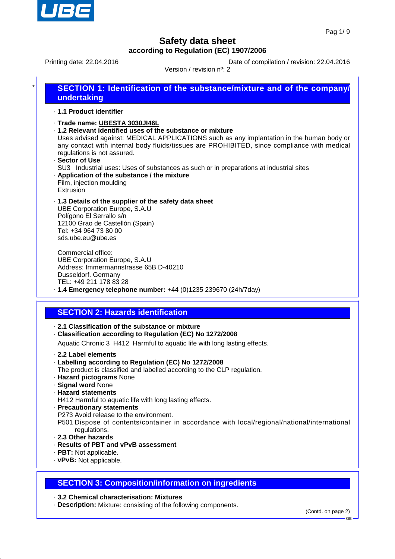

Printing date: 22.04.2016 **Date of compilation / revision: 22.04.2016** 

Version / revision nº: 2

| ¥ | <b>SECTION 1: Identification of the substance/mixture and of the company/</b><br>undertaking                                                                                                                                                                                                                                                                                                                                                                                                                               |  |  |
|---|----------------------------------------------------------------------------------------------------------------------------------------------------------------------------------------------------------------------------------------------------------------------------------------------------------------------------------------------------------------------------------------------------------------------------------------------------------------------------------------------------------------------------|--|--|
|   | .1.1 Product identifier                                                                                                                                                                                                                                                                                                                                                                                                                                                                                                    |  |  |
|   | ⋅Trade name: UBESTA 3030JI46L<br>.1.2 Relevant identified uses of the substance or mixture<br>Uses advised against: MEDICAL APPLICATIONS such as any implantation in the human body or<br>any contact with internal body fluids/tissues are PROHIBITED, since compliance with medical<br>regulations is not assured.<br>· Sector of Use<br>SU3 Industrial uses: Uses of substances as such or in preparations at industrial sites<br>. Application of the substance / the mixture<br>Film, injection moulding<br>Extrusion |  |  |
|   | .1.3 Details of the supplier of the safety data sheet<br><b>UBE Corporation Europe, S.A.U</b>                                                                                                                                                                                                                                                                                                                                                                                                                              |  |  |

Polígono El Serrallo s/n 12100 Grao de Castellón (Spain) Tel: +34 964 73 80 00 sds.ube.eu@ube.es

Commercial office: UBE Corporation Europe, S.A.U Address: Immermannstrasse 65B D-40210 Dusseldorf. Germany TEL: +49 211 178 83 28

# · **1.4 Emergency telephone number:** +44 (0)1235 239670 (24h/7day)

### **SECTION 2: Hazards identification**

- · **2.1 Classification of the substance or mixture**
- · **Classification according to Regulation (EC) No 1272/2008**

Aquatic Chronic 3 H412 Harmful to aquatic life with long lasting effects.

- · **2.2 Label elements**
- · **Labelling according to Regulation (EC) No 1272/2008**
- The product is classified and labelled according to the CLP regulation.
- · **Hazard pictograms** None
- · **Signal word** None
- · **Hazard statements**
- H412 Harmful to aquatic life with long lasting effects.
- · **Precautionary statements**
- P273 Avoid release to the environment.
- P501 Dispose of contents/container in accordance with local/regional/national/international regulations.
- · **2.3 Other hazards**
- · **Results of PBT and vPvB assessment**
- · **PBT:** Not applicable.
- · **vPvB:** Not applicable.

### **SECTION 3: Composition/information on ingredients**

#### · **3.2 Chemical characterisation: Mixtures**

· **Description:** Mixture: consisting of the following components.

GB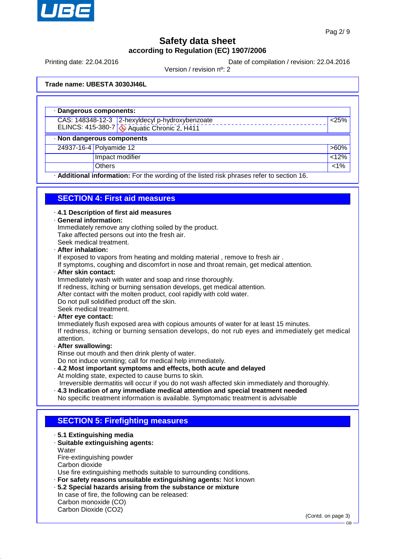

Printing date: 22.04.2016 **Date of compilation / revision: 22.04.2016** 

Version / revision nº: 2

**Trade name: UBESTA 3030JI46L**

| · Dangerous components:                         |                                                                                           |         |  |  |  |
|-------------------------------------------------|-------------------------------------------------------------------------------------------|---------|--|--|--|
| CAS: 148348-12-3 2-hexyldecyl p-hydroxybenzoate |                                                                                           | < 25%   |  |  |  |
| ELINCS: 415-380-7 4 Aquatic Chronic 2, H411     |                                                                                           |         |  |  |  |
| · Non dangerous components                      |                                                                                           |         |  |  |  |
| 24937-16-4 Polyamide 12                         |                                                                                           | $>60\%$ |  |  |  |
| Impact modifier                                 |                                                                                           | < 12%   |  |  |  |
| <b>Others</b>                                   |                                                                                           | $1\%$   |  |  |  |
|                                                 | - Additional information: For the wording of the listed risk phrases refer to section 16. |         |  |  |  |

### **SECTION 4: First aid measures**

· **4.1 Description of first aid measures**

#### · **General information:**

Immediately remove any clothing soiled by the product. Take affected persons out into the fresh air. Seek medical treatment.

#### · **After inhalation:**

If exposed to vapors from heating and molding material , remove to fresh air .

If symptoms, coughing and discomfort in nose and throat remain, get medical attention.

#### · **After skin contact:**

Immediately wash with water and soap and rinse thoroughly.

- If redness, itching or burning sensation develops, get medical attention.
- After contact with the molten product, cool rapidly with cold water.

Do not pull solidified product off the skin.

Seek medical treatment.

#### · **After eye contact:**

Immediately flush exposed area with copious amounts of water for at least 15 minutes. If redness, itching or burning sensation develops, do not rub eyes and immediately get medical attention.

#### · **After swallowing:**

Rinse out mouth and then drink plenty of water. Do not induce vomiting; call for medical help immediately.

- · **4.2 Most important symptoms and effects, both acute and delayed** At molding state, expected to cause burns to skin. Irreversible dermatitis will occur if you do not wash affected skin immediately and thoroughly.
- · **4.3 Indication of any immediate medical attention and special treatment needed** No specific treatment information is available. Symptomatic treatment is advisable

### **SECTION 5: Firefighting measures**

- · **5.1 Extinguishing media**
- · **Suitable extinguishing agents:**
- **Water** Fire-extinguishing powder Carbon dioxide

Use fire extinguishing methods suitable to surrounding conditions.

- · **For safety reasons unsuitable extinguishing agents:** Not known
- · **5.2 Special hazards arising from the substance or mixture**
- In case of fire, the following can be released: Carbon monoxide (CO)

Carbon Dioxide (CO2)

(Contd. on page 3)

GB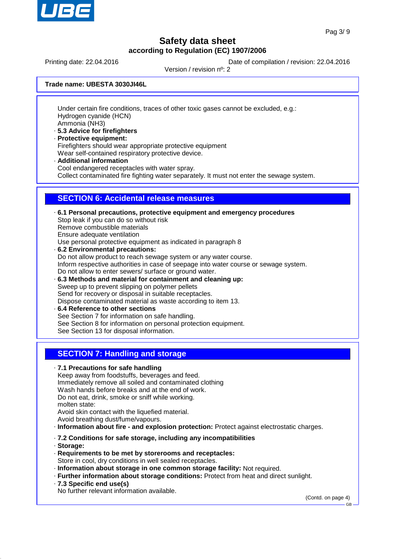

Printing date: 22.04.2016 **Date of compilation / revision: 22.04.2016** 

Version / revision nº: 2

**Trade name: UBESTA 3030JI46L**

Under certain fire conditions, traces of other toxic gases cannot be excluded, e.g.: Hydrogen cyanide (HCN) Ammonia (NH3)

- · **5.3 Advice for firefighters**
- · **Protective equipment:** Firefighters should wear appropriate protective equipment Wear self-contained respiratory protective device.
- · **Additional information**

Cool endangered receptacles with water spray.

Collect contaminated fire fighting water separately. It must not enter the sewage system.

### **SECTION 6: Accidental release measures**

· **6.1 Personal precautions, protective equipment and emergency procedures** Stop leak if you can do so without risk Remove combustible materials Ensure adequate ventilation Use personal protective equipment as indicated in paragraph 8 · **6.2 Environmental precautions:** Do not allow product to reach sewage system or any water course. Inform respective authorities in case of seepage into water course or sewage system. Do not allow to enter sewers/ surface or ground water. · **6.3 Methods and material for containment and cleaning up:** Sweep up to prevent slipping on polymer pellets Send for recovery or disposal in suitable receptacles. Dispose contaminated material as waste according to item 13.

· **6.4 Reference to other sections** See Section 7 for information on safe handling. See Section 8 for information on personal protection equipment. See Section 13 for disposal information.

### **SECTION 7: Handling and storage**

· **7.1 Precautions for safe handling** Keep away from foodstuffs, beverages and feed. Immediately remove all soiled and contaminated clothing Wash hands before breaks and at the end of work. Do not eat, drink, smoke or sniff while working. molten state: Avoid skin contact with the liquefied material. Avoid breathing dust/fume/vapours.

- · **Information about fire and explosion protection:** Protect against electrostatic charges.
- · **7.2 Conditions for safe storage, including any incompatibilities**
- · **Storage:**
- · **Requirements to be met by storerooms and receptacles:** Store in cool, dry conditions in well sealed receptacles.
- · **Information about storage in one common storage facility:** Not required.
- · **Further information about storage conditions:** Protect from heat and direct sunlight.
- · **7.3 Specific end use(s)**

No further relevant information available.

(Contd. on page 4)

GB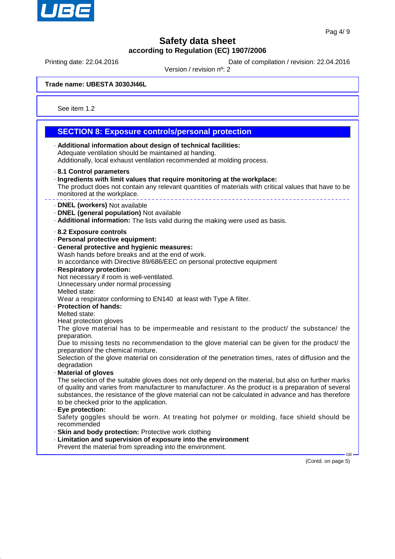

Printing date: 22.04.2016 **Date of compilation / revision: 22.04.2016** 

Version / revision nº: 2

**Trade name: UBESTA 3030JI46L**

See item 1.2

#### **SECTION 8: Exposure controls/personal protection** · **Additional information about design of technical facilities:** Adequate ventilation should be maintained at handing. Additionally, local exhaust ventilation recommended at molding process. · **8.1 Control parameters** · **Ingredients with limit values that require monitoring at the workplace:** The product does not contain any relevant quantities of materials with critical values that have to be monitored at the workplace. · **DNEL (workers)** Not available · **DNEL (general population)** Not available · **Additional information:** The lists valid during the making were used as basis. · **8.2 Exposure controls** · **Personal protective equipment:** · **General protective and hygienic measures:** Wash hands before breaks and at the end of work. In accordance with Directive 89/686/EEC on personal protective equipment · **Respiratory protection:** Not necessary if room is well-ventilated. Unnecessary under normal processing Melted state: Wear a respirator conforming to EN140 at least with Type A filter. · **Protection of hands:** Melted state: Heat protection gloves The glove material has to be impermeable and resistant to the product/ the substance/ the preparation. Due to missing tests no recommendation to the glove material can be given for the product/ the preparation/ the chemical mixture. Selection of the glove material on consideration of the penetration times, rates of diffusion and the degradation · **Material of gloves** The selection of the suitable gloves does not only depend on the material, but also on further marks of quality and varies from manufacturer to manufacturer. As the product is a preparation of several substances, the resistance of the glove material can not be calculated in advance and has therefore to be checked prior to the application. · **Eye protection:** Safety goggles should be worn. At treating hot polymer or molding, face shield should be recommended · **Skin and body protection:** Protective work clothing · **Limitation and supervision of exposure into the environment** Prevent the material from spreading into the environment. GB

(Contd. on page 5)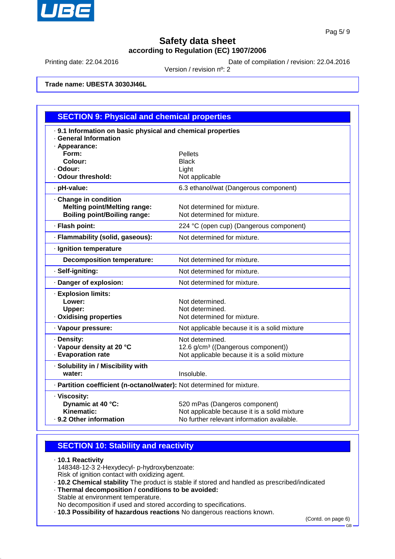

Printing date: 22.04.2016 Date of compilation / revision: 22.04.2016

Version / revision nº: 2

**Trade name: UBESTA 3030JI46L**

| <b>SECTION 9: Physical and chemical properties</b>                     |                                                |  |  |  |
|------------------------------------------------------------------------|------------------------------------------------|--|--|--|
| . 9.1 Information on basic physical and chemical properties            |                                                |  |  |  |
| · General Information                                                  |                                                |  |  |  |
| · Appearance:                                                          |                                                |  |  |  |
| Form:<br>Colour:                                                       | <b>Pellets</b><br><b>Black</b>                 |  |  |  |
| · Odour:                                                               | Light                                          |  |  |  |
| · Odour threshold:                                                     | Not applicable                                 |  |  |  |
| · pH-value:                                                            | 6.3 ethanol/wat (Dangerous component)          |  |  |  |
| · Change in condition                                                  |                                                |  |  |  |
| <b>Melting point/Melting range:</b>                                    | Not determined for mixture.                    |  |  |  |
| <b>Boiling point/Boiling range:</b>                                    | Not determined for mixture.                    |  |  |  |
| · Flash point:                                                         | 224 °C (open cup) (Dangerous component)        |  |  |  |
| · Flammability (solid, gaseous):                                       | Not determined for mixture.                    |  |  |  |
| · Ignition temperature                                                 |                                                |  |  |  |
| <b>Decomposition temperature:</b>                                      | Not determined for mixture.                    |  |  |  |
| · Self-igniting:                                                       | Not determined for mixture.                    |  |  |  |
| Danger of explosion:                                                   | Not determined for mixture.                    |  |  |  |
| · Explosion limits:                                                    |                                                |  |  |  |
| Lower:                                                                 | Not determined.                                |  |  |  |
| Upper:                                                                 | Not determined.                                |  |  |  |
| · Oxidising properties                                                 | Not determined for mixture.                    |  |  |  |
| · Vapour pressure:                                                     | Not applicable because it is a solid mixture   |  |  |  |
| · Density:                                                             | Not determined.                                |  |  |  |
| · Vapour density at 20 °C                                              | 12.6 g/cm <sup>3</sup> ((Dangerous component)) |  |  |  |
| · Evaporation rate                                                     | Not applicable because it is a solid mixture   |  |  |  |
| · Solubility in / Miscibility with                                     |                                                |  |  |  |
| water:                                                                 | Insoluble.                                     |  |  |  |
| · Partition coefficient (n-octanol/water): Not determined for mixture. |                                                |  |  |  |
| · Viscosity:                                                           |                                                |  |  |  |
| Dynamic at 40 °C:                                                      | 520 mPas (Dangeros component)                  |  |  |  |
| Kinematic:                                                             | Not applicable because it is a solid mixture   |  |  |  |
| · 9.2 Other information                                                | No further relevant information available.     |  |  |  |

### **SECTION 10: Stability and reactivity**

· **10.1 Reactivity** 148348-12-3 2-Hexydecyl- p-hydroxybenzoate: Risk of ignition contact with oxidizing agent.

- · **10.2 Chemical stability** The product is stable if stored and handled as prescribed/indicated
- · **Thermal decomposition / conditions to be avoided:** Stable at environment temperature.

No decomposition if used and stored according to specifications.

· **10.3 Possibility of hazardous reactions** No dangerous reactions known.

(Contd. on page 6)

GB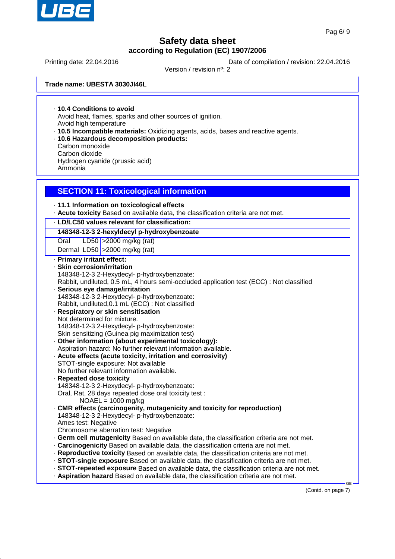

Printing date: 22.04.2016 **Date of compilation / revision: 22.04.2016** 

Version / revision nº: 2

**Trade name: UBESTA 3030JI46L**

· **10.4 Conditions to avoid** Avoid heat, flames, sparks and other sources of ignition. Avoid high temperature

- · **10.5 Incompatible materials:** Oxidizing agents, acids, bases and reactive agents.
- · **10.6 Hazardous decomposition products:** Carbon monoxide Carbon dioxide Hydrogen cyanide (prussic acid) Ammonia

### **SECTION 11: Toxicological information**

· **11.1 Information on toxicological effects**

· **Acute toxicity** Based on available data, the classification criteria are not met.

#### · **LD/LC50 values relevant for classification:**

**148348-12-3 2-hexyldecyl p-hydroxybenzoate**

Oral LD50 >2000 mg/kg (rat)

Dermal LD50  $\vert$  >2000 mg/kg (rat)

· **Primary irritant effect:** · **Skin corrosion/irritation** 148348-12-3 2-Hexydecyl- p-hydroxybenzoate: Rabbit, undiluted, 0.5 mL, 4 hours semi-occluded application test (ECC) : Not classified · **Serious eye damage/irritation** 148348-12-3 2-Hexydecyl- p-hydroxybenzoate: Rabbit, undiluted,0.1 mL (ECC) : Not classified · **Respiratory or skin sensitisation** Not determined for mixture. 148348-12-3 2-Hexydecyl- p-hydroxybenzoate: Skin sensitizing (Guinea pig maximization test) · **Other information (about experimental toxicology):** Aspiration hazard: No further relevant information available. · **Acute effects (acute toxicity, irritation and corrosivity)** STOT-single exposure: Not available No further relevant information available. · **Repeated dose toxicity** 148348-12-3 2-Hexydecyl- p-hydroxybenzoate: Oral, Rat, 28 days repeated dose oral toxicity test : NOAEL = 1000 mg/kg · **CMR effects (carcinogenity, mutagenicity and toxicity for reproduction)** 148348-12-3 2-Hexydecyl- p-hydroxybenzoate: Ames test: Negative Chromosome aberration test: Negative · **Germ cell mutagenicity** Based on available data, the classification criteria are not met. · **Carcinogenicity** Based on available data, the classification criteria are not met. · **Reproductive toxicity** Based on available data, the classification criteria are not met. · **STOT-single exposure** Based on available data, the classification criteria are not met. · **STOT-repeated exposure** Based on available data, the classification criteria are not met. · **Aspiration hazard** Based on available data, the classification criteria are not met.

(Contd. on page 7)

GB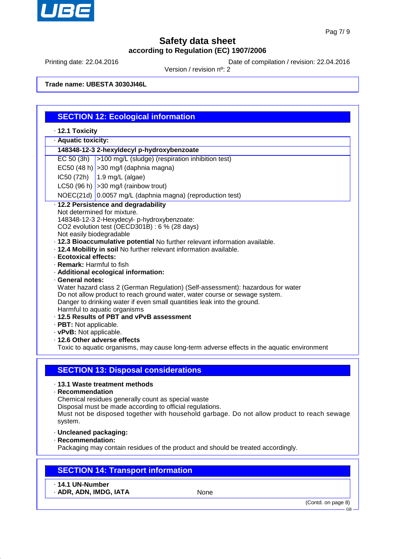

Printing date: 22.04.2016 **Date of compilation / revision: 22.04.2016** 

Version / revision nº: 2

**Trade name: UBESTA 3030JI46L**

|                                                                                                                                                                                                                                                                                                                                                                                                                                                                                                                                                                                                                                                                                                                                                                                                                                                                                                                                            | <b>SECTION 12: Ecological information</b>                                                                                    |  |  |  |  |
|--------------------------------------------------------------------------------------------------------------------------------------------------------------------------------------------------------------------------------------------------------------------------------------------------------------------------------------------------------------------------------------------------------------------------------------------------------------------------------------------------------------------------------------------------------------------------------------------------------------------------------------------------------------------------------------------------------------------------------------------------------------------------------------------------------------------------------------------------------------------------------------------------------------------------------------------|------------------------------------------------------------------------------------------------------------------------------|--|--|--|--|
| · 12.1 Toxicity                                                                                                                                                                                                                                                                                                                                                                                                                                                                                                                                                                                                                                                                                                                                                                                                                                                                                                                            |                                                                                                                              |  |  |  |  |
| · Aquatic toxicity:                                                                                                                                                                                                                                                                                                                                                                                                                                                                                                                                                                                                                                                                                                                                                                                                                                                                                                                        |                                                                                                                              |  |  |  |  |
| 148348-12-3 2-hexyldecyl p-hydroxybenzoate                                                                                                                                                                                                                                                                                                                                                                                                                                                                                                                                                                                                                                                                                                                                                                                                                                                                                                 |                                                                                                                              |  |  |  |  |
|                                                                                                                                                                                                                                                                                                                                                                                                                                                                                                                                                                                                                                                                                                                                                                                                                                                                                                                                            | EC 50 (3h) >100 mg/L (sludge) (respiration inhibition test)                                                                  |  |  |  |  |
|                                                                                                                                                                                                                                                                                                                                                                                                                                                                                                                                                                                                                                                                                                                                                                                                                                                                                                                                            | EC50 (48 h) $ >$ 30 mg/l (daphnia magna)                                                                                     |  |  |  |  |
|                                                                                                                                                                                                                                                                                                                                                                                                                                                                                                                                                                                                                                                                                                                                                                                                                                                                                                                                            | $IC50 (72h)$ 1.9 mg/L (algae)                                                                                                |  |  |  |  |
|                                                                                                                                                                                                                                                                                                                                                                                                                                                                                                                                                                                                                                                                                                                                                                                                                                                                                                                                            |                                                                                                                              |  |  |  |  |
|                                                                                                                                                                                                                                                                                                                                                                                                                                                                                                                                                                                                                                                                                                                                                                                                                                                                                                                                            | LC50 (96 h) $ >30$ mg/l (rainbow trout)<br>NOEC(21d) 0.0057 mg/L (daphnia magna) (reproduction test)                         |  |  |  |  |
|                                                                                                                                                                                                                                                                                                                                                                                                                                                                                                                                                                                                                                                                                                                                                                                                                                                                                                                                            | · 12.2 Persistence and degradability                                                                                         |  |  |  |  |
| Not determined for mixture.<br>148348-12-3 2-Hexydecyl- p-hydroxybenzoate:<br>CO2 evolution test (OECD301B) : 6 % (28 days)<br>Not easily biodegradable<br>· 12.3 Bioaccumulative potential No further relevant information available.<br>. 12.4 Mobility in soil No further relevant information available.<br>· Ecotoxical effects:<br>· Remark: Harmful to fish<br>· Additional ecological information:<br>· General notes:<br>Water hazard class 2 (German Regulation) (Self-assessment): hazardous for water<br>Do not allow product to reach ground water, water course or sewage system.<br>Danger to drinking water if even small quantities leak into the ground.<br>Harmful to aquatic organisms<br>· 12.5 Results of PBT and vPvB assessment<br>· PBT: Not applicable.<br>· vPvB: Not applicable.<br>· 12.6 Other adverse effects<br>Toxic to aquatic organisms, may cause long-term adverse effects in the aquatic environment |                                                                                                                              |  |  |  |  |
|                                                                                                                                                                                                                                                                                                                                                                                                                                                                                                                                                                                                                                                                                                                                                                                                                                                                                                                                            | <b>SECTION 13: Disposal considerations</b>                                                                                   |  |  |  |  |
| · 13.1 Waste treatment methods<br>· Recommendation<br>Chemical residues generally count as special waste<br>Disposal must be made according to official regulations.<br>Must not be disposed together with household garbage. Do not allow product to reach sewage<br>system.<br>· Uncleaned packaging:<br>· Recommendation:                                                                                                                                                                                                                                                                                                                                                                                                                                                                                                                                                                                                               |                                                                                                                              |  |  |  |  |
|                                                                                                                                                                                                                                                                                                                                                                                                                                                                                                                                                                                                                                                                                                                                                                                                                                                                                                                                            | Packaging may contain residues of the product and should be treated accordingly.<br><b>SECTION 14: Transport information</b> |  |  |  |  |
| · 14.1 UN-Number<br>· ADR, ADN, IMDG, IATA                                                                                                                                                                                                                                                                                                                                                                                                                                                                                                                                                                                                                                                                                                                                                                                                                                                                                                 | None                                                                                                                         |  |  |  |  |
|                                                                                                                                                                                                                                                                                                                                                                                                                                                                                                                                                                                                                                                                                                                                                                                                                                                                                                                                            | (Contd. on page 8)<br><b>GB</b>                                                                                              |  |  |  |  |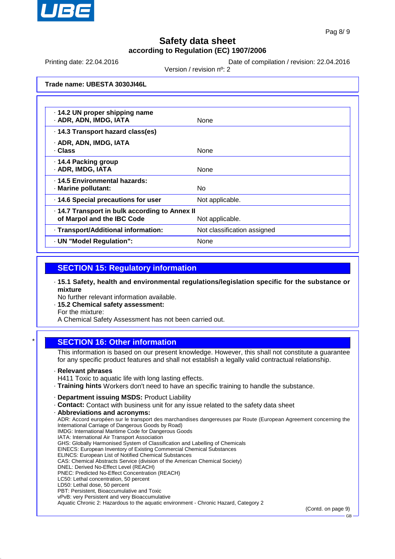

Printing date: 22.04.2016 **Date of compilation / revision: 22.04.2016** 

Version / revision nº: 2

**Trade name: UBESTA 3030JI46L**

| · 14.2 UN proper shipping name<br>· ADR, ADN, IMDG, IATA                     | None                        |
|------------------------------------------------------------------------------|-----------------------------|
| .14.3 Transport hazard class(es)                                             |                             |
| · ADR, ADN, IMDG, IATA<br>· Class                                            | None                        |
| · 14.4 Packing group<br>· ADR, IMDG, IATA                                    | None                        |
| . 14.5 Environmental hazards:<br>· Marine pollutant:                         | No.                         |
| · 14.6 Special precautions for user                                          | Not applicable.             |
| · 14.7 Transport in bulk according to Annex II<br>of Marpol and the IBC Code | Not applicable.             |
| · Transport/Additional information:                                          | Not classification assigned |
| · UN "Model Regulation":                                                     | None                        |

### **SECTION 15: Regulatory information**

· **15.1 Safety, health and environmental regulations/legislation specific for the substance or mixture**

No further relevant information available.

· **15.2 Chemical safety assessment:**

For the mixture:

A Chemical Safety Assessment has not been carried out.

### **SECTION 16: Other information**

This information is based on our present knowledge. However, this shall not constitute a guarantee for any specific product features and shall not establish a legally valid contractual relationship.

· **Relevant phrases**

H411 Toxic to aquatic life with long lasting effects.

- · **Training hints** Workers don't need to have an specific training to handle the substance.
- · **Department issuing MSDS:** Product Liability
- · **Contact:** Contact with business unit for any issue related to the safety data sheet
- · **Abbreviations and acronyms:**
- ADR: Accord européen sur le transport des marchandises dangereuses par Route (European Agreement concerning the International Carriage of Dangerous Goods by Road) IMDG: International Maritime Code for Dangerous Goods IATA: International Air Transport Association GHS: Globally Harmonised System of Classification and Labelling of Chemicals EINECS: European Inventory of Existing Commercial Chemical Substances ELINCS: European List of Notified Chemical Substances CAS: Chemical Abstracts Service (division of the American Chemical Society) DNEL: Derived No-Effect Level (REACH) PNEC: Predicted No-Effect Concentration (REACH) LC50: Lethal concentration, 50 percent LD50: Lethal dose, 50 percent PBT: Persistent, Bioaccumulative and Toxic
- vPvB: very Persistent and very Bioaccumulative

Aquatic Chronic 2: Hazardous to the aquatic environment - Chronic Hazard, Category 2

(Contd. on page 9)

GB